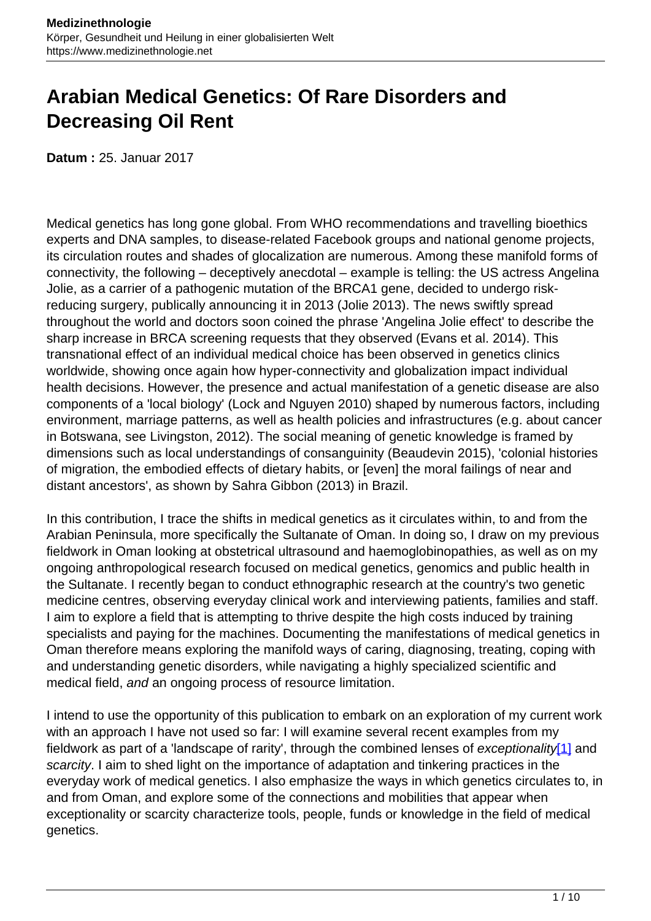# **Arabian Medical Genetics: Of Rare Disorders and Decreasing Oil Rent**

**Datum :** 25. Januar 2017

Medical genetics has long gone global. From WHO recommendations and travelling bioethics experts and DNA samples, to disease-related Facebook groups and national genome projects, its circulation routes and shades of glocalization are numerous. Among these manifold forms of connectivity, the following – deceptively anecdotal – example is telling: the US actress Angelina Jolie, as a carrier of a pathogenic mutation of the BRCA1 gene, decided to undergo riskreducing surgery, publically announcing it in 2013 (Jolie 2013). The news swiftly spread throughout the world and doctors soon coined the phrase 'Angelina Jolie effect' to describe the sharp increase in BRCA screening requests that they observed (Evans et al. 2014). This transnational effect of an individual medical choice has been observed in genetics clinics worldwide, showing once again how hyper-connectivity and globalization impact individual health decisions. However, the presence and actual manifestation of a genetic disease are also components of a 'local biology' (Lock and Nguyen 2010) shaped by numerous factors, including environment, marriage patterns, as well as health policies and infrastructures (e.g. about cancer in Botswana, see Livingston, 2012). The social meaning of genetic knowledge is framed by dimensions such as local understandings of consanguinity (Beaudevin 2015), 'colonial histories of migration, the embodied effects of dietary habits, or [even] the moral failings of near and distant ancestors', as shown by Sahra Gibbon (2013) in Brazil.

In this contribution, I trace the shifts in medical genetics as it circulates within, to and from the Arabian Peninsula, more specifically the Sultanate of Oman. In doing so, I draw on my previous fieldwork in Oman looking at obstetrical ultrasound and haemoglobinopathies, as well as on my ongoing anthropological research focused on medical genetics, genomics and public health in the Sultanate. I recently began to conduct ethnographic research at the country's two genetic medicine centres, observing everyday clinical work and interviewing patients, families and staff. I aim to explore a field that is attempting to thrive despite the high costs induced by training specialists and paying for the machines. Documenting the manifestations of medical genetics in Oman therefore means exploring the manifold ways of caring, diagnosing, treating, coping with and understanding genetic disorders, while navigating a highly specialized scientific and medical field, and an ongoing process of resource limitation.

I intend to use the opportunity of this publication to embark on an exploration of my current work with an approach I have not used so far: I will examine several recent examples from my fieldwork as part of a 'landscape of rarity', through the combined lenses of exceptionality<sup>[1]</sup> and scarcity. I aim to shed light on the importance of adaptation and tinkering practices in the everyday work of medical genetics. I also emphasize the ways in which genetics circulates to, in and from Oman, and explore some of the connections and mobilities that appear when exceptionality or scarcity characterize tools, people, funds or knowledge in the field of medical genetics.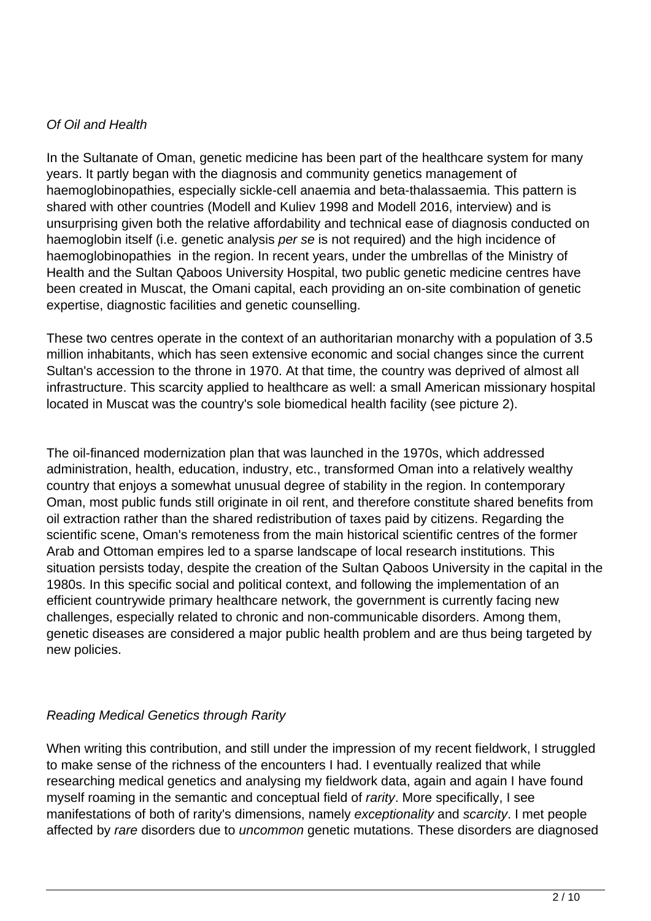#### Of Oil and Health

In the Sultanate of Oman, genetic medicine has been part of the healthcare system for many years. It partly began with the diagnosis and community genetics management of haemoglobinopathies, especially sickle-cell anaemia and beta-thalassaemia. This pattern is shared with other countries (Modell and Kuliev 1998 and Modell 2016, interview) and is unsurprising given both the relative affordability and technical ease of diagnosis conducted on haemoglobin itself (i.e. genetic analysis per se is not required) and the high incidence of haemoglobinopathies in the region. In recent years, under the umbrellas of the Ministry of Health and the Sultan Qaboos University Hospital, two public genetic medicine centres have been created in Muscat, the Omani capital, each providing an on-site combination of genetic expertise, diagnostic facilities and genetic counselling.

These two centres operate in the context of an authoritarian monarchy with a population of 3.5 million inhabitants, which has seen extensive economic and social changes since the current Sultan's accession to the throne in 1970. At that time, the country was deprived of almost all infrastructure. This scarcity applied to healthcare as well: a small American missionary hospital located in Muscat was the country's sole biomedical health facility (see picture 2).

The oil-financed modernization plan that was launched in the 1970s, which addressed administration, health, education, industry, etc., transformed Oman into a relatively wealthy country that enjoys a somewhat unusual degree of stability in the region. In contemporary Oman, most public funds still originate in oil rent, and therefore constitute shared benefits from oil extraction rather than the shared redistribution of taxes paid by citizens. Regarding the scientific scene, Oman's remoteness from the main historical scientific centres of the former Arab and Ottoman empires led to a sparse landscape of local research institutions. This situation persists today, despite the creation of the Sultan Qaboos University in the capital in the 1980s. In this specific social and political context, and following the implementation of an efficient countrywide primary healthcare network, the government is currently facing new challenges, especially related to chronic and non-communicable disorders. Among them, genetic diseases are considered a major public health problem and are thus being targeted by new policies.

### Reading Medical Genetics through Rarity

When writing this contribution, and still under the impression of my recent fieldwork, I struggled to make sense of the richness of the encounters I had. I eventually realized that while researching medical genetics and analysing my fieldwork data, again and again I have found myself roaming in the semantic and conceptual field of rarity. More specifically, I see manifestations of both of rarity's dimensions, namely exceptionality and scarcity. I met people affected by rare disorders due to uncommon genetic mutations. These disorders are diagnosed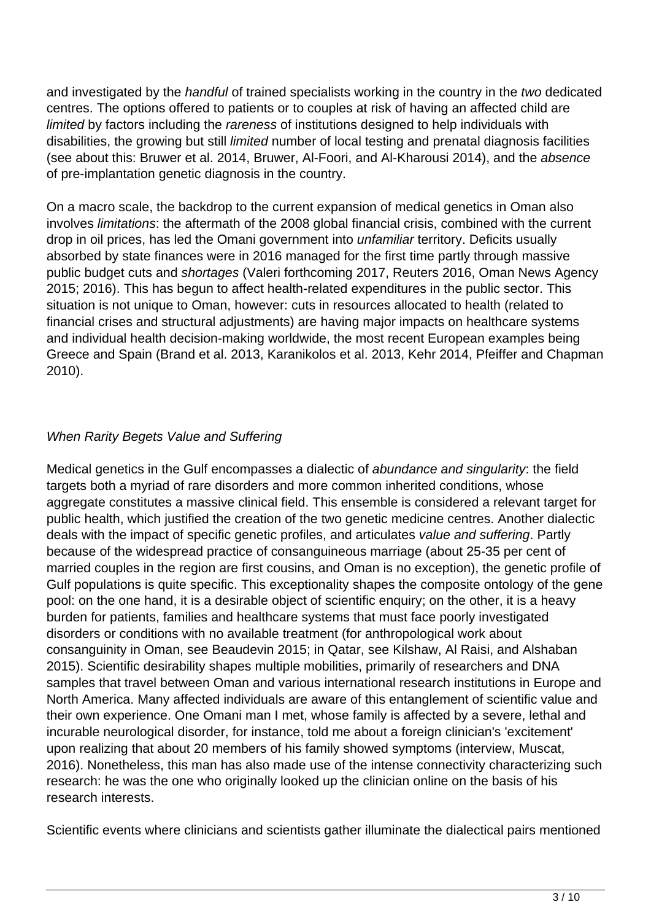and investigated by the handful of trained specialists working in the country in the two dedicated centres. The options offered to patients or to couples at risk of having an affected child are limited by factors including the rareness of institutions designed to help individuals with disabilities, the growing but still limited number of local testing and prenatal diagnosis facilities (see about this: Bruwer et al. 2014, Bruwer, Al-Foori, and Al-Kharousi 2014), and the absence of pre-implantation genetic diagnosis in the country.

On a macro scale, the backdrop to the current expansion of medical genetics in Oman also involves limitations: the aftermath of the 2008 global financial crisis, combined with the current drop in oil prices, has led the Omani government into *unfamiliar* territory. Deficits usually absorbed by state finances were in 2016 managed for the first time partly through massive public budget cuts and shortages (Valeri forthcoming 2017, Reuters 2016, Oman News Agency 2015; 2016). This has begun to affect health-related expenditures in the public sector. This situation is not unique to Oman, however: cuts in resources allocated to health (related to financial crises and structural adjustments) are having major impacts on healthcare systems and individual health decision-making worldwide, the most recent European examples being Greece and Spain (Brand et al. 2013, Karanikolos et al. 2013, Kehr 2014, Pfeiffer and Chapman 2010).

## When Rarity Begets Value and Suffering

Medical genetics in the Gulf encompasses a dialectic of abundance and singularity: the field targets both a myriad of rare disorders and more common inherited conditions, whose aggregate constitutes a massive clinical field. This ensemble is considered a relevant target for public health, which justified the creation of the two genetic medicine centres. Another dialectic deals with the impact of specific genetic profiles, and articulates value and suffering. Partly because of the widespread practice of consanguineous marriage (about 25-35 per cent of married couples in the region are first cousins, and Oman is no exception), the genetic profile of Gulf populations is quite specific. This exceptionality shapes the composite ontology of the gene pool: on the one hand, it is a desirable object of scientific enquiry; on the other, it is a heavy burden for patients, families and healthcare systems that must face poorly investigated disorders or conditions with no available treatment (for anthropological work about consanguinity in Oman, see Beaudevin 2015; in Qatar, see Kilshaw, Al Raisi, and Alshaban 2015). Scientific desirability shapes multiple mobilities, primarily of researchers and DNA samples that travel between Oman and various international research institutions in Europe and North America. Many affected individuals are aware of this entanglement of scientific value and their own experience. One Omani man I met, whose family is affected by a severe, lethal and incurable neurological disorder, for instance, told me about a foreign clinician's 'excitement' upon realizing that about 20 members of his family showed symptoms (interview, Muscat, 2016). Nonetheless, this man has also made use of the intense connectivity characterizing such research: he was the one who originally looked up the clinician online on the basis of his research interests.

Scientific events where clinicians and scientists gather illuminate the dialectical pairs mentioned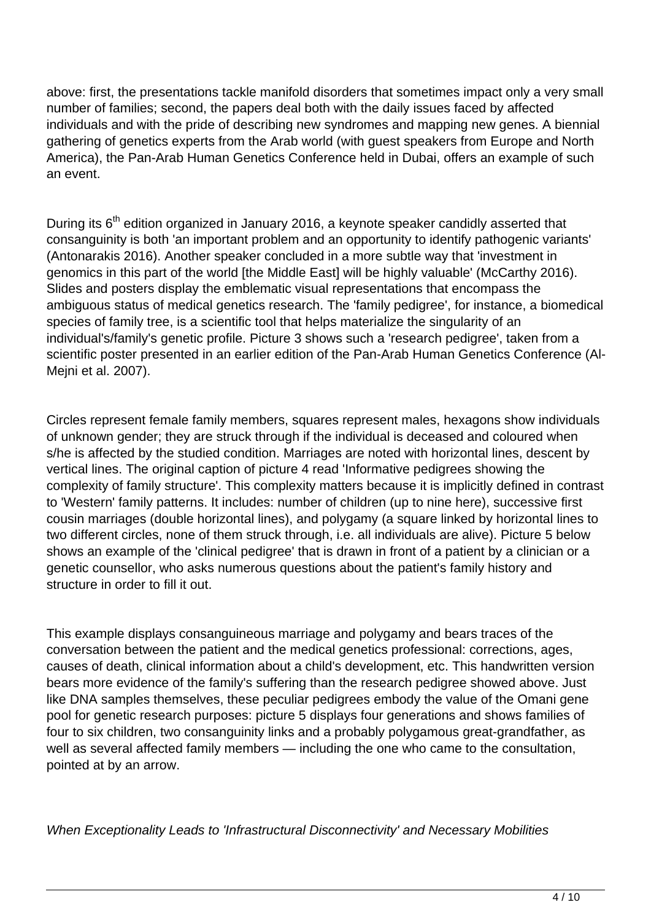above: first, the presentations tackle manifold disorders that sometimes impact only a very small number of families; second, the papers deal both with the daily issues faced by affected individuals and with the pride of describing new syndromes and mapping new genes. A biennial gathering of genetics experts from the Arab world (with guest speakers from Europe and North America), the Pan-Arab Human Genetics Conference held in Dubai, offers an example of such an event.

During its 6<sup>th</sup> edition organized in January 2016, a keynote speaker candidly asserted that consanguinity is both 'an important problem and an opportunity to identify pathogenic variants' (Antonarakis 2016). Another speaker concluded in a more subtle way that 'investment in genomics in this part of the world [the Middle East] will be highly valuable' (McCarthy 2016). Slides and posters display the emblematic visual representations that encompass the ambiguous status of medical genetics research. The 'family pedigree', for instance, a biomedical species of family tree, is a scientific tool that helps materialize the singularity of an individual's/family's genetic profile. Picture 3 shows such a 'research pedigree', taken from a scientific poster presented in an earlier edition of the Pan-Arab Human Genetics Conference (Al-Mejni et al. 2007).

Circles represent female family members, squares represent males, hexagons show individuals of unknown gender; they are struck through if the individual is deceased and coloured when s/he is affected by the studied condition. Marriages are noted with horizontal lines, descent by vertical lines. The original caption of picture 4 read 'Informative pedigrees showing the complexity of family structure'. This complexity matters because it is implicitly defined in contrast to 'Western' family patterns. It includes: number of children (up to nine here), successive first cousin marriages (double horizontal lines), and polygamy (a square linked by horizontal lines to two different circles, none of them struck through, i.e. all individuals are alive). Picture 5 below shows an example of the 'clinical pedigree' that is drawn in front of a patient by a clinician or a genetic counsellor, who asks numerous questions about the patient's family history and structure in order to fill it out.

This example displays consanguineous marriage and polygamy and bears traces of the conversation between the patient and the medical genetics professional: corrections, ages, causes of death, clinical information about a child's development, etc. This handwritten version bears more evidence of the family's suffering than the research pedigree showed above. Just like DNA samples themselves, these peculiar pedigrees embody the value of the Omani gene pool for genetic research purposes: picture 5 displays four generations and shows families of four to six children, two consanguinity links and a probably polygamous great-grandfather, as well as several affected family members — including the one who came to the consultation, pointed at by an arrow.

When Exceptionality Leads to 'Infrastructural Disconnectivity' and Necessary Mobilities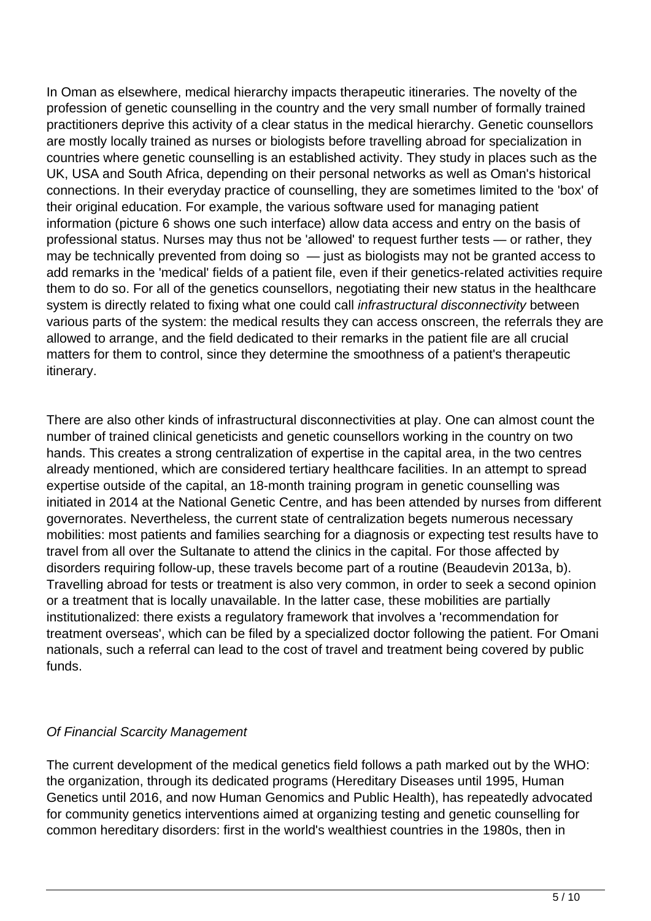In Oman as elsewhere, medical hierarchy impacts therapeutic itineraries. The novelty of the profession of genetic counselling in the country and the very small number of formally trained practitioners deprive this activity of a clear status in the medical hierarchy. Genetic counsellors are mostly locally trained as nurses or biologists before travelling abroad for specialization in countries where genetic counselling is an established activity. They study in places such as the UK, USA and South Africa, depending on their personal networks as well as Oman's historical connections. In their everyday practice of counselling, they are sometimes limited to the 'box' of their original education. For example, the various software used for managing patient information (picture 6 shows one such interface) allow data access and entry on the basis of professional status. Nurses may thus not be 'allowed' to request further tests — or rather, they may be technically prevented from doing so  $-$  just as biologists may not be granted access to add remarks in the 'medical' fields of a patient file, even if their genetics-related activities require them to do so. For all of the genetics counsellors, negotiating their new status in the healthcare system is directly related to fixing what one could call *infrastructural disconnectivity* between various parts of the system: the medical results they can access onscreen, the referrals they are allowed to arrange, and the field dedicated to their remarks in the patient file are all crucial matters for them to control, since they determine the smoothness of a patient's therapeutic itinerary.

There are also other kinds of infrastructural disconnectivities at play. One can almost count the number of trained clinical geneticists and genetic counsellors working in the country on two hands. This creates a strong centralization of expertise in the capital area, in the two centres already mentioned, which are considered tertiary healthcare facilities. In an attempt to spread expertise outside of the capital, an 18-month training program in genetic counselling was initiated in 2014 at the National Genetic Centre, and has been attended by nurses from different governorates. Nevertheless, the current state of centralization begets numerous necessary mobilities: most patients and families searching for a diagnosis or expecting test results have to travel from all over the Sultanate to attend the clinics in the capital. For those affected by disorders requiring follow-up, these travels become part of a routine (Beaudevin 2013a, b). Travelling abroad for tests or treatment is also very common, in order to seek a second opinion or a treatment that is locally unavailable. In the latter case, these mobilities are partially institutionalized: there exists a regulatory framework that involves a 'recommendation for treatment overseas', which can be filed by a specialized doctor following the patient. For Omani nationals, such a referral can lead to the cost of travel and treatment being covered by public funds.

### Of Financial Scarcity Management

The current development of the medical genetics field follows a path marked out by the WHO: the organization, through its dedicated programs (Hereditary Diseases until 1995, Human Genetics until 2016, and now Human Genomics and Public Health), has repeatedly advocated for community genetics interventions aimed at organizing testing and genetic counselling for common hereditary disorders: first in the world's wealthiest countries in the 1980s, then in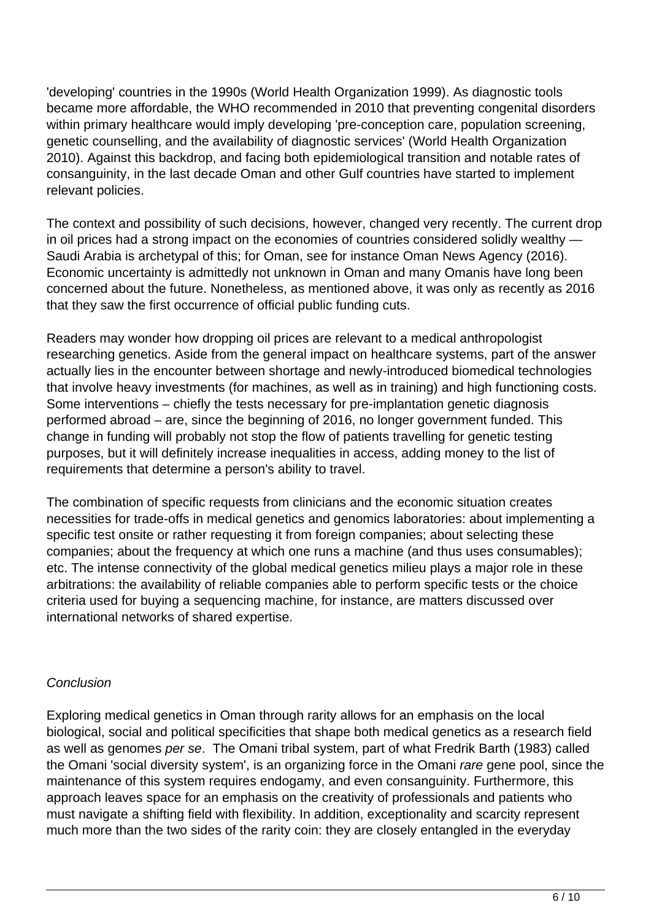'developing' countries in the 1990s (World Health Organization 1999). As diagnostic tools became more affordable, the WHO recommended in 2010 that preventing congenital disorders within primary healthcare would imply developing 'pre-conception care, population screening, genetic counselling, and the availability of diagnostic services' (World Health Organization 2010). Against this backdrop, and facing both epidemiological transition and notable rates of consanguinity, in the last decade Oman and other Gulf countries have started to implement relevant policies.

The context and possibility of such decisions, however, changed very recently. The current drop in oil prices had a strong impact on the economies of countries considered solidly wealthy — Saudi Arabia is archetypal of this; for Oman, see for instance Oman News Agency (2016). Economic uncertainty is admittedly not unknown in Oman and many Omanis have long been concerned about the future. Nonetheless, as mentioned above, it was only as recently as 2016 that they saw the first occurrence of official public funding cuts.

Readers may wonder how dropping oil prices are relevant to a medical anthropologist researching genetics. Aside from the general impact on healthcare systems, part of the answer actually lies in the encounter between shortage and newly-introduced biomedical technologies that involve heavy investments (for machines, as well as in training) and high functioning costs. Some interventions – chiefly the tests necessary for pre-implantation genetic diagnosis performed abroad – are, since the beginning of 2016, no longer government funded. This change in funding will probably not stop the flow of patients travelling for genetic testing purposes, but it will definitely increase inequalities in access, adding money to the list of requirements that determine a person's ability to travel.

The combination of specific requests from clinicians and the economic situation creates necessities for trade-offs in medical genetics and genomics laboratories: about implementing a specific test onsite or rather requesting it from foreign companies; about selecting these companies; about the frequency at which one runs a machine (and thus uses consumables); etc. The intense connectivity of the global medical genetics milieu plays a major role in these arbitrations: the availability of reliable companies able to perform specific tests or the choice criteria used for buying a sequencing machine, for instance, are matters discussed over international networks of shared expertise.

### **Conclusion**

Exploring medical genetics in Oman through rarity allows for an emphasis on the local biological, social and political specificities that shape both medical genetics as a research field as well as genomes per se. The Omani tribal system, part of what Fredrik Barth (1983) called the Omani 'social diversity system', is an organizing force in the Omani rare gene pool, since the maintenance of this system requires endogamy, and even consanguinity. Furthermore, this approach leaves space for an emphasis on the creativity of professionals and patients who must navigate a shifting field with flexibility. In addition, exceptionality and scarcity represent much more than the two sides of the rarity coin: they are closely entangled in the everyday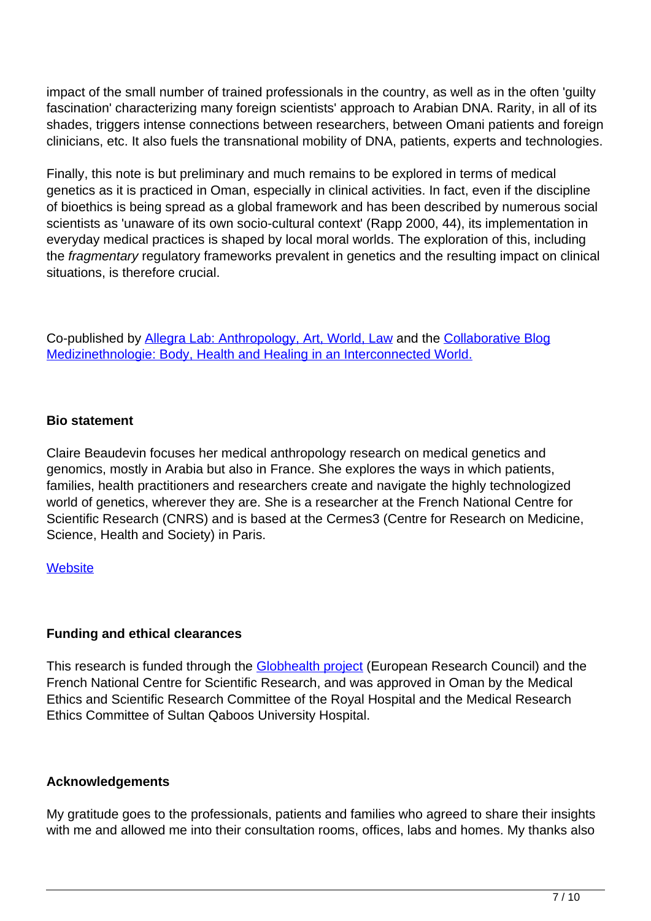impact of the small number of trained professionals in the country, as well as in the often 'guilty fascination' characterizing many foreign scientists' approach to Arabian DNA. Rarity, in all of its shades, triggers intense connections between researchers, between Omani patients and foreign clinicians, etc. It also fuels the transnational mobility of DNA, patients, experts and technologies.

Finally, this note is but preliminary and much remains to be explored in terms of medical genetics as it is practiced in Oman, especially in clinical activities. In fact, even if the discipline of bioethics is being spread as a global framework and has been described by numerous social scientists as 'unaware of its own socio-cultural context' (Rapp 2000, 44), its implementation in everyday medical practices is shaped by local moral worlds. The exploration of this, including the fragmentary regulatory frameworks prevalent in genetics and the resulting impact on clinical situations, is therefore crucial.

Co-published by [Allegra Lab: Anthropology, Art, World, Law](http://allegralaboratory.net/) and the [Collaborative Blog](http://www.medizinethnologie.net/) [Medizinethnologie: Body, Health and Healing in an Interconnected World.](http://www.medizinethnologie.net/)

### **Bio statement**

Claire Beaudevin focuses her medical anthropology research on medical genetics and genomics, mostly in Arabia but also in France. She explores the ways in which patients, families, health practitioners and researchers create and navigate the highly technologized world of genetics, wherever they are. She is a researcher at the French National Centre for Scientific Research (CNRS) and is based at the Cermes3 (Centre for Research on Medicine, Science, Health and Society) in Paris.

### **[Website](http://www.cermes3.cnrs.fr/en/members/beaudevin)**

### **Funding and ethical clearances**

This research is funded through the **Globhealth project** (European Research Council) and the French National Centre for Scientific Research, and was approved in Oman by the Medical Ethics and Scientific Research Committee of the Royal Hospital and the Medical Research Ethics Committee of Sultan Qaboos University Hospital.

#### **Acknowledgements**

My gratitude goes to the professionals, patients and families who agreed to share their insights with me and allowed me into their consultation rooms, offices, labs and homes. My thanks also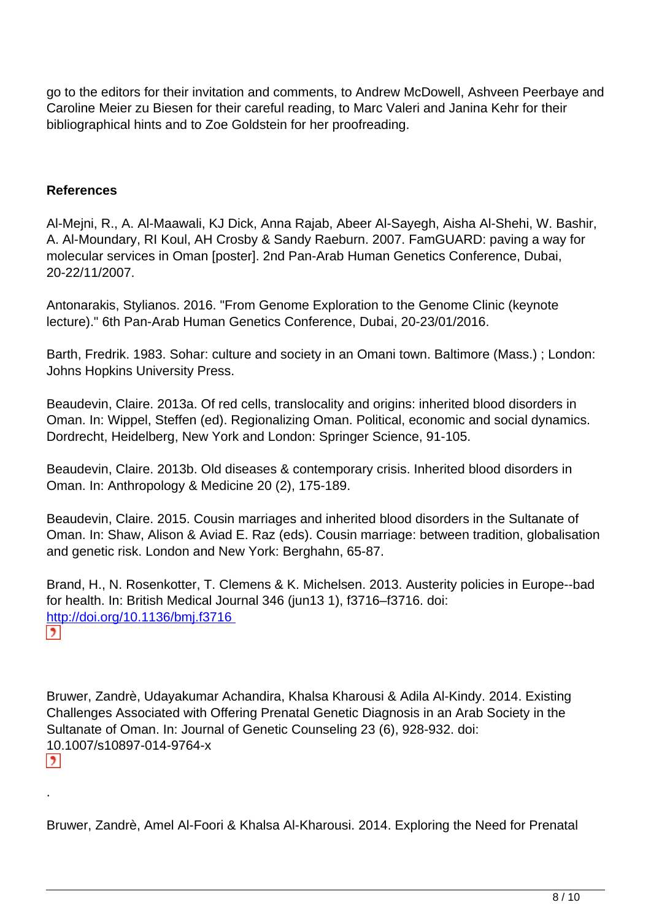go to the editors for their invitation and comments, to Andrew McDowell, Ashveen Peerbaye and Caroline Meier zu Biesen for their careful reading, to Marc Valeri and Janina Kehr for their bibliographical hints and to Zoe Goldstein for her proofreading.

#### **References**

.

Al-Mejni, R., A. Al-Maawali, KJ Dick, Anna Rajab, Abeer Al-Sayegh, Aisha Al-Shehi, W. Bashir, A. Al-Moundary, RI Koul, AH Crosby & Sandy Raeburn. 2007. FamGUARD: paving a way for molecular services in Oman [poster]. 2nd Pan-Arab Human Genetics Conference, Dubai, 20-22/11/2007.

Antonarakis, Stylianos. 2016. "From Genome Exploration to the Genome Clinic (keynote lecture)." 6th Pan-Arab Human Genetics Conference, Dubai, 20-23/01/2016.

Barth, Fredrik. 1983. Sohar: culture and society in an Omani town. Baltimore (Mass.) ; London: Johns Hopkins University Press.

Beaudevin, Claire. 2013a. Of red cells, translocality and origins: inherited blood disorders in Oman. In: Wippel, Steffen (ed). Regionalizing Oman. Political, economic and social dynamics. Dordrecht, Heidelberg, New York and London: Springer Science, 91-105.

Beaudevin, Claire. 2013b. Old diseases & contemporary crisis. Inherited blood disorders in Oman. In: Anthropology & Medicine 20 (2), 175-189.

Beaudevin, Claire. 2015. Cousin marriages and inherited blood disorders in the Sultanate of Oman. In: Shaw, Alison & Aviad E. Raz (eds). Cousin marriage: between tradition, globalisation and genetic risk. London and New York: Berghahn, 65-87.

Brand, H., N. Rosenkotter, T. Clemens & K. Michelsen. 2013. Austerity policies in Europe--bad for health. In: British Medical Journal 346 (jun13 1), f3716–f3716. doi: http://doi.org/10.1136/bmj.f3716

Bruwer, Zandrè, Udayakumar Achandira, Khalsa Kharousi & Adila Al-Kindy. 2014. Existing Challenges Associated with Offering Prenatal Genetic Diagnosis in an Arab Society in the Sultanate of Oman. In: Journal of Genetic Counseling 23 (6), 928-932. doi: 10.1007/s10897-014-9764-x  $\mathbf{E}$ 

Bruwer, Zandrè, Amel Al-Foori & Khalsa Al-Kharousi. 2014. Exploring the Need for Prenatal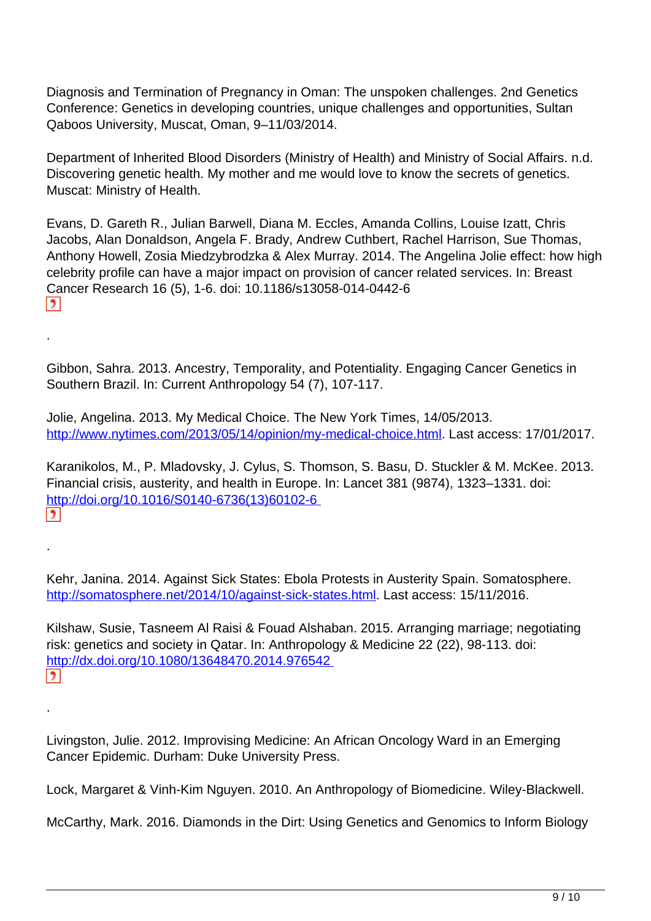Diagnosis and Termination of Pregnancy in Oman: The unspoken challenges. 2nd Genetics Conference: Genetics in developing countries, unique challenges and opportunities, Sultan Qaboos University, Muscat, Oman, 9–11/03/2014.

Department of Inherited Blood Disorders (Ministry of Health) and Ministry of Social Affairs. n.d. Discovering genetic health. My mother and me would love to know the secrets of genetics. Muscat: Ministry of Health.

Evans, D. Gareth R., Julian Barwell, Diana M. Eccles, Amanda Collins, Louise Izatt, Chris Jacobs, Alan Donaldson, Angela F. Brady, Andrew Cuthbert, Rachel Harrison, Sue Thomas, Anthony Howell, Zosia Miedzybrodzka & Alex Murray. 2014. The Angelina Jolie effect: how high celebrity profile can have a major impact on provision of cancer related services. In: Breast Cancer Research 16 (5), 1-6. doi: 10.1186/s13058-014-0442-6  $\vert$ 

Gibbon, Sahra. 2013. Ancestry, Temporality, and Potentiality. Engaging Cancer Genetics in Southern Brazil. In: Current Anthropology 54 (7), 107-117.

.

.

.

Jolie, Angelina. 2013. My Medical Choice. The New York Times, 14/05/2013. [http://www.nytimes.com/2013/05/14/opinion/my-medical-choice.html.](http://www.nytimes.com/2013/05/14/opinion/my-medical-choice.html) Last access: 17/01/2017.

Karanikolos, M., P. Mladovsky, J. Cylus, S. Thomson, S. Basu, D. Stuckler & M. McKee. 2013. Financial crisis, austerity, and health in Europe. In: Lancet 381 (9874), 1323–1331. doi: [http://doi.org/10.1016/S0140-6736\(13\)60102-6](http://doi.org/10.1016/S0140-6736(13)60102-6)   $\mathbf{E}$ 

Kehr, Janina. 2014. Against Sick States: Ebola Protests in Austerity Spain. Somatosphere. [http://somatosphere.net/2014/10/against-sick-states.html.](http://somatosphere.net/2014/10/against-sick-states.html) Last access: 15/11/2016.

Kilshaw, Susie, Tasneem Al Raisi & Fouad Alshaban. 2015. Arranging marriage; negotiating risk: genetics and society in Qatar. In: Anthropology & Medicine 22 (22), 98-113. doi: <http://dx.doi.org/10.1080/13648470.2014.976542>  $\overline{\phantom{a}}$ 

Livingston, Julie. 2012. Improvising Medicine: An African Oncology Ward in an Emerging Cancer Epidemic. Durham: Duke University Press.

Lock, Margaret & Vinh-Kim Nguyen. 2010. An Anthropology of Biomedicine. Wiley-Blackwell.

McCarthy, Mark. 2016. Diamonds in the Dirt: Using Genetics and Genomics to Inform Biology